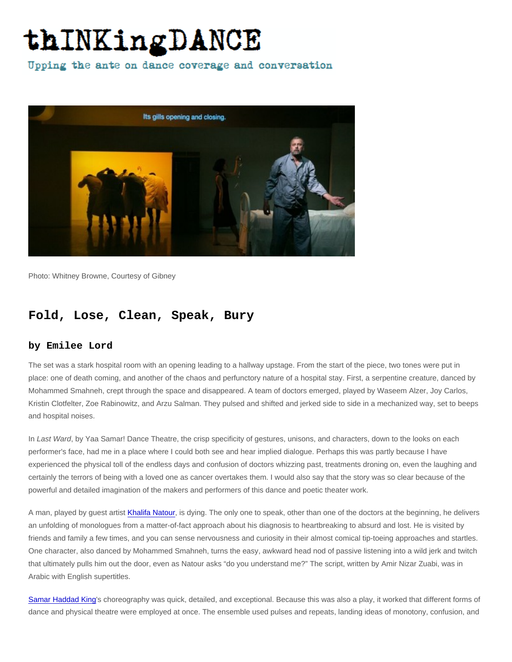Photo: Whitney Browne, Courtesy of Gibney

## Fold, Lose, Clean, Speak, Bury

## by Emilee Lord

The set was a stark hospital room with an opening leading to a hallway upstage. From the start of the piece, two tones were put in place: one of death coming, and another of the chaos and perfunctory nature of a hospital stay. First, a serpentine creature, danced by Mohammed Smahneh, crept through the space and disappeared. A team of doctors emerged, played by Waseem Alzer, Joy Carlos, Kristin Clotfelter, Zoe Rabinowitz, and Arzu Salman. They pulsed and shifted and jerked side to side in a mechanized way, set to beeps and hospital noises.

In Last Ward, by Yaa Samar! Dance Theatre, the crisp specificity of gestures, unisons, and characters, down to the looks on each performer's face, had me in a place where I could both see and hear implied dialogue. Perhaps this was partly because I have experienced the physical toll of the endless days and confusion of doctors whizzing past, treatments droning on, even the laughing and certainly the terrors of being with a loved one as cancer overtakes them. I would also say that the story was so clear because of the powerful and detailed imagination of the makers and performers of this dance and poetic theater work.

A man, played by guest artist [Khalifa Natour,](https://www.imdb.com/name/nm0622384/?ref_=nmbio_bio_nm) is dying. The only one to speak, other than one of the doctors at the beginning, he delivers an unfolding of monologues from a matter-of-fact approach about his diagnosis to heartbreaking to absurd and lost. He is visited by friends and family a few times, and you can sense nervousness and curiosity in their almost comical tip-toeing approaches and startles. One character, also danced by Mohammed Smahneh, turns the easy, awkward head nod of passive listening into a wild jerk and twitch that ultimately pulls him out the door, even as Natour asks "do you understand me?" The script, written by Amir Nizar Zuabi, was in Arabic with English supertitles.

[Samar Haddad King](https://ysdt.org/#mission)'s choreography was quick, detailed, and exceptional. Because this was also a play, it worked that different forms of dance and physical theatre were employed at once. The ensemble used pulses and repeats, landing ideas of monotony, confusion, and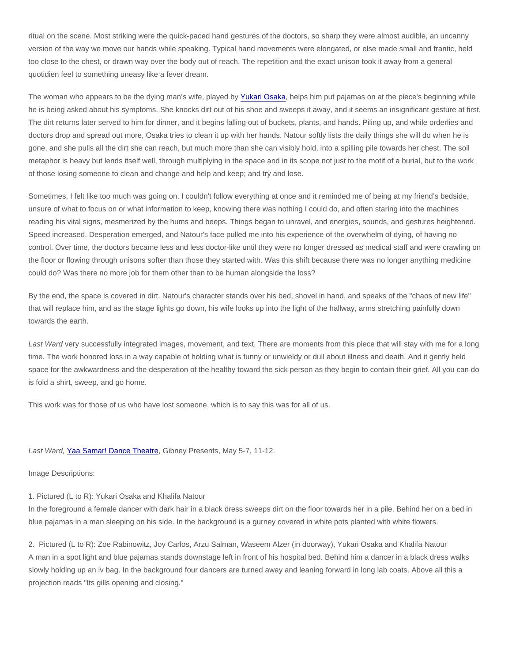ritual on the scene. Most striking were the quick-paced hand gestures of the doctors, so sharp they were almost audible, an uncanny version of the way we move our hands while speaking. Typical hand movements were elongated, or else made small and frantic, held too close to the chest, or drawn way over the body out of reach. The repetition and the exact unison took it away from a general quotidien feel to something uneasy like a fever dream.

The woman who appears to be the dying man's wife, played by [Yukari Osaka,](http://www.yukariosaka.com/about.html) helps him put pajamas on at the piece's beginning while he is being asked about his symptoms. She knocks dirt out of his shoe and sweeps it away, and it seems an insignificant gesture at first. The dirt returns later served to him for dinner, and it begins falling out of buckets, plants, and hands. Piling up, and while orderlies and doctors drop and spread out more, Osaka tries to clean it up with her hands. Natour softly lists the daily things she will do when he is gone, and she pulls all the dirt she can reach, but much more than she can visibly hold, into a spilling pile towards her chest. The soil metaphor is heavy but lends itself well, through multiplying in the space and in its scope not just to the motif of a burial, but to the work of those losing someone to clean and change and help and keep; and try and lose.

Sometimes, I felt like too much was going on. I couldn't follow everything at once and it reminded me of being at my friend's bedside, unsure of what to focus on or what information to keep, knowing there was nothing I could do, and often staring into the machines reading his vital signs, mesmerized by the hums and beeps. Things began to unravel, and energies, sounds, and gestures heightened. Speed increased. Desperation emerged, and Natour's face pulled me into his experience of the overwhelm of dying, of having no control. Over time, the doctors became less and less doctor-like until they were no longer dressed as medical staff and were crawling on the floor or flowing through unisons softer than those they started with. Was this shift because there was no longer anything medicine could do? Was there no more job for them other than to be human alongside the loss?

By the end, the space is covered in dirt. Natour's character stands over his bed, shovel in hand, and speaks of the "chaos of new life" that will replace him, and as the stage lights go down, his wife looks up into the light of the hallway, arms stretching painfully down towards the earth.

Last Ward very successfully integrated images, movement, and text. There are moments from this piece that will stay with me for a long time. The work honored loss in a way capable of holding what is funny or unwieldy or dull about illness and death. And it gently held space for the awkwardness and the desperation of the healthy toward the sick person as they begin to contain their grief. All you can do is fold a shirt, sweep, and go home.

This work was for those of us who have lost someone, which is to say this was for all of us.

## Last Ward, [Yaa Samar! Dance Theatre,](https://ysdt.org/) Gibney Presents, May 5-7, 11-12.

Image Descriptions:

## 1. Pictured (L to R): Yukari Osaka and Khalifa Natour

In the foreground a female dancer with dark hair in a black dress sweeps dirt on the floor towards her in a pile. Behind her on a bed in blue pajamas in a man sleeping on his side. In the background is a gurney covered in white pots planted with white flowers.

2. Pictured (L to R): Zoe Rabinowitz, Joy Carlos, Arzu Salman, Waseem Alzer (in doorway), Yukari Osaka and Khalifa Natour A man in a spot light and blue pajamas stands downstage left in front of his hospital bed. Behind him a dancer in a black dress walks slowly holding up an iv bag. In the background four dancers are turned away and leaning forward in long lab coats. Above all this a projection reads "Its gills opening and closing."